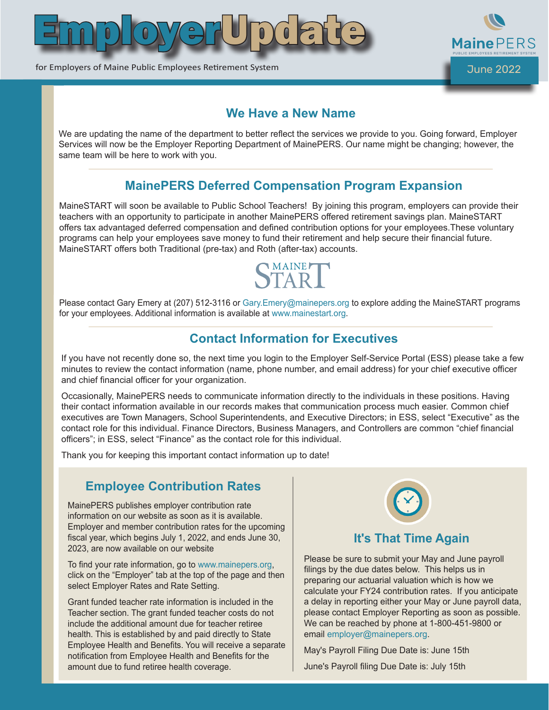



for Employers of Maine Public Employees Retirement System June 2022 and June 2022

#### **We Have a New Name**

We are updating the name of the department to better reflect the services we provide to you. Going forward, Employer Services will now be the Employer Reporting Department of MainePERS. Our name might be changing; however, the same team will be here to work with you.

# **MainePERS Deferred Compensation Program Expansion**

MaineSTART will soon be available to Public School Teachers! By joining this program, employers can provide their teachers with an opportunity to participate in another MainePERS offered retirement savings plan. MaineSTART offers tax advantaged deferred compensation and defined contribution options for your employees.These voluntary programs can help your employees save money to fund their retirement and help secure their financial future. MaineSTART offers both Traditional (pre-tax) and Roth (after-tax) accounts.



Please contact Gary Emery at (207) 512-3116 or Gary. Emery@mainepers.org to explore adding the MaineSTART programs for your employees. Additional information is available at www.mainestart.org.

## **Contact Information for Executives**

If you have not recently done so, the next time you login to the Employer Self-Service Portal (ESS) please take a few minutes to review the contact information (name, phone number, and email address) for your chief executive officer and chief financial officer for your organization.

Occasionally, MainePERS needs to communicate information directly to the individuals in these positions. Having their contact information available in our records makes that communication process much easier. Common chief executives are Town Managers, School Superintendents, and Executive Directors; in ESS, select "Executive" as the contact role for this individual. Finance Directors, Business Managers, and Controllers are common "chief financial officers"; in ESS, select "Finance" as the contact role for this individual.

Thank you for keeping this important contact information up to date!

#### **Employee Contribution Rates**

MainePERS publishes employer contribution rate information on our website as soon as it is available. Employer and member contribution rates for the upcoming fiscal year, which begins July 1, 2022, and ends June 30, 2023, are now available on our website

To find your rate information, go to www.mainepers.org, click on the "Employer" tab at the top of the page and then select Employer Rates and Rate Setting.

Grant funded teacher rate information is included in the Teacher section. The grant funded teacher costs do not include the additional amount due for teacher retiree health. This is established by and paid directly to State Employee Health and Benefits. You will receive a separate notification from Employee Health and Benefits for the amount due to fund retiree health coverage.



#### **It's That Time Again**

Please be sure to submit your May and June payroll filings by the due dates below. This helps us in preparing our actuarial valuation which is how we calculate your FY24 contribution rates. If you anticipate a delay in reporting either your May or June payroll data, please contact Employer Reporting as soon as possible. We can be reached by phone at 1-800-451-9800 or email employer@mainepers.org.

May's Payroll Filing Due Date is: June 15th

June's Payroll filing Due Date is: July 15th